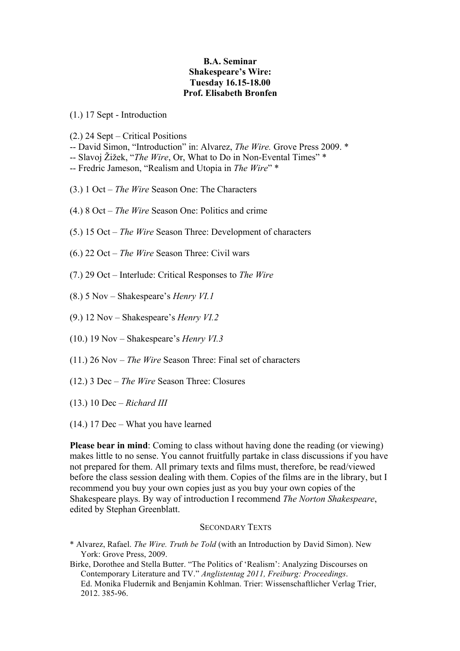## **B.A. Seminar Shakespeare's Wire: Tuesday 16.15-18.00 Prof. Elisabeth Bronfen**

(1.) 17 Sept - Introduction

(2.) 24 Sept – Critical Positions

- -- David Simon, "Introduction" in: Alvarez, *The Wire.* Grove Press 2009. \*
- -- Slavoj Žižek, "*The Wire*, Or, What to Do in Non-Evental Times" \*
- -- Fredric Jameson, "Realism and Utopia in *The Wire*" \*
- (3.) 1 Oct *The Wire* Season One: The Characters
- (4.) 8 Oct *The Wire* Season One: Politics and crime
- (5.) 15 Oct *The Wire* Season Three: Development of characters
- (6.) 22 Oct *The Wire* Season Three: Civil wars
- (7.) 29 Oct Interlude: Critical Responses to *The Wire*
- (8.) 5 Nov Shakespeare's *Henry VI.1*
- (9.) 12 Nov Shakespeare's *Henry VI.2*
- (10.) 19 Nov Shakespeare's *Henry VI.3*
- (11.) 26 Nov *The Wire* Season Three: Final set of characters
- (12.) 3 Dec *The Wire* Season Three: Closures
- (13.) 10 Dec *Richard III*
- (14.) 17 Dec What you have learned

**Please bear in mind**: Coming to class without having done the reading (or viewing) makes little to no sense. You cannot fruitfully partake in class discussions if you have not prepared for them. All primary texts and films must, therefore, be read/viewed before the class session dealing with them. Copies of the films are in the library, but I recommend you buy your own copies just as you buy your own copies of the Shakespeare plays. By way of introduction I recommend *The Norton Shakespeare*, edited by Stephan Greenblatt.

## SECONDARY TEXTS

- \* Alvarez, Rafael. *The Wire. Truth be Told* (with an Introduction by David Simon). New York: Grove Press, 2009.
- Birke, Dorothee and Stella Butter. "The Politics of 'Realism': Analyzing Discourses on Contemporary Literature and TV." *Anglistentag 2011, Freiburg: Proceedings*. Ed. Monika Fludernik and Benjamin Kohlman. Trier: Wissenschaftlicher Verlag Trier, 2012. 385-96.